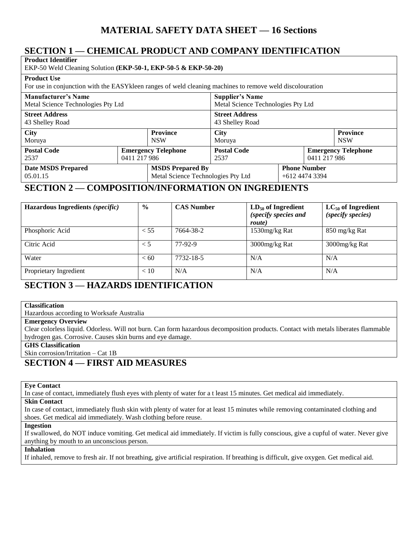# **MATERIAL SAFETY DATA SHEET — 16 Sections**

# **SECTION 1 — CHEMICAL PRODUCT AND COMPANY IDENTIFICATION**

| <b>Product Identifier</b><br>EKP-50 Weld Cleaning Solution (EKP-50-1, EKP-50-5 & EKP-50-20)                                     |              |                                    |                                    |                     |                                            |  |
|---------------------------------------------------------------------------------------------------------------------------------|--------------|------------------------------------|------------------------------------|---------------------|--------------------------------------------|--|
| <b>Product Use</b><br>For use in conjunction with the EASY kleen ranges of weld cleaning machines to remove weld discolouration |              |                                    |                                    |                     |                                            |  |
| Manufacturer's Name                                                                                                             |              |                                    | <b>Supplier's Name</b>             |                     |                                            |  |
| Metal Science Technologies Pty Ltd                                                                                              |              |                                    | Metal Science Technologies Pty Ltd |                     |                                            |  |
| <b>Street Address</b>                                                                                                           |              | <b>Street Address</b>              |                                    |                     |                                            |  |
| 43 Shelley Road                                                                                                                 |              | 43 Shelley Road                    |                                    |                     |                                            |  |
| <b>City</b>                                                                                                                     |              | <b>Province</b>                    | <b>City</b>                        |                     | <b>Province</b>                            |  |
| Moruya                                                                                                                          |              | <b>NSW</b>                         | Moruya                             |                     | <b>NSW</b>                                 |  |
| <b>Postal Code</b><br>2537                                                                                                      | 0411 217 986 | <b>Emergency Telephone</b>         | <b>Postal Code</b><br>2537         |                     | <b>Emergency Telephone</b><br>0411 217 986 |  |
| <b>Date MSDS Prepared</b>                                                                                                       |              | <b>MSDS Prepared By</b>            |                                    | <b>Phone Number</b> |                                            |  |
| 05.01.15                                                                                                                        |              | Metal Science Technologies Pty Ltd |                                    | $+61244743394$      |                                            |  |

## **SECTION 2 — COMPOSITION/INFORMATION ON INGREDIENTS**

| Hazardous Ingredients (specific) | $\frac{0}{0}$ | <b>CAS Number</b> | $LD_{50}$ of Ingredient<br>(specify species and<br>route) | $LC_{50}$ of Ingredient<br>(specify species) |
|----------------------------------|---------------|-------------------|-----------------------------------------------------------|----------------------------------------------|
| Phosphoric Acid                  | < 55          | 7664-38-2         | 1530mg/kg Rat                                             | 850 mg/kg Rat                                |
| Citric Acid                      | $\leq 5$      | 77-92-9           | 3000mg/kg Rat                                             | 3000mg/kg Rat                                |
| Water                            | < 60          | 7732-18-5         | N/A                                                       | N/A                                          |
| Proprietary Ingredient           | < 10          | N/A               | N/A                                                       | N/A                                          |

## **SECTION 3 — HAZARDS IDENTIFICATION**

## **Classification**

Hazardous according to Worksafe Australia

### **Emergency Overview**

Clear colorless liquid. Odorless. Will not burn. Can form hazardous decomposition products. Contact with metals liberates flammable hydrogen gas. Corrosive. Causes skin burns and eye damage.

### **GHS Classification**

Skin corrosion/Irritation – Cat 1B

## **SECTION 4 — FIRST AID MEASURES**

## **Eye Contact**

In case of contact, immediately flush eyes with plenty of water for a t least 15 minutes. Get medical aid immediately.

## **Skin Contact**

In case of contact, immediately flush skin with plenty of water for at least 15 minutes while removing contaminated clothing and shoes. Get medical aid immediately. Wash clothing before reuse.

### **Ingestion**

If swallowed, do NOT induce vomiting. Get medical aid immediately. If victim is fully conscious, give a cupful of water. Never give anything by mouth to an unconscious person.

## **Inhalation**

If inhaled, remove to fresh air. If not breathing, give artificial respiration. If breathing is difficult, give oxygen. Get medical aid.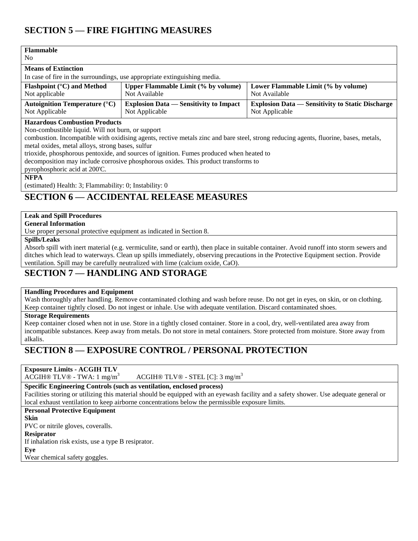# **SECTION 5 — FIRE FIGHTING MEASURES**

| <b>Flammable</b><br>N <sub>0</sub>                                                                                                                                                                                                                                                                                                                                                                                                                                                                      |                                                                 |                                                                           |  |  |
|---------------------------------------------------------------------------------------------------------------------------------------------------------------------------------------------------------------------------------------------------------------------------------------------------------------------------------------------------------------------------------------------------------------------------------------------------------------------------------------------------------|-----------------------------------------------------------------|---------------------------------------------------------------------------|--|--|
| <b>Means of Extinction</b>                                                                                                                                                                                                                                                                                                                                                                                                                                                                              |                                                                 |                                                                           |  |  |
| In case of fire in the surroundings, use appropriate extinguishing media.                                                                                                                                                                                                                                                                                                                                                                                                                               |                                                                 |                                                                           |  |  |
| Flashpoint (°C) and Method<br>Not applicable                                                                                                                                                                                                                                                                                                                                                                                                                                                            | <b>Upper Flammable Limit (% by volume)</b><br>Not Available     | Lower Flammable Limit (% by volume)<br>Not Available                      |  |  |
| <b>Autoignition Temperature (°C)</b><br>Not Applicable                                                                                                                                                                                                                                                                                                                                                                                                                                                  | <b>Explosion Data — Sensitivity to Impact</b><br>Not Applicable | <b>Explosion Data — Sensitivity to Static Discharge</b><br>Not Applicable |  |  |
| <b>Hazardous Combustion Products</b><br>Non-combustible liquid. Will not burn, or support<br>combustion. Incompatible with oxidising agents, rective metals zinc and bare steel, strong reducing agents, fluorine, bases, metals,<br>metal oxides, metal alloys, strong bases, sulfur<br>trioxide, phosphorous pentoxide, and sources of ignition. Fumes produced when heated to<br>decomposition may include corrosive phosphorous oxides. This product transforms to<br>pyrophosphoric acid at 200°C. |                                                                 |                                                                           |  |  |
| <b>NFPA</b><br>(estimated) Health: 3; Flammability: 0; Instability: 0                                                                                                                                                                                                                                                                                                                                                                                                                                   |                                                                 |                                                                           |  |  |

## **SECTION 6 — ACCIDENTAL RELEASE MEASURES**

### **Leak and Spill Procedures**

**General Information**

Use proper personal protective equipment as indicated in Section 8.

**Spills/Leaks**

Absorb spill with inert material (e.g. vermiculite, sand or earth), then place in suitable container. Avoid runoff into storm sewers and ditches which lead to waterways. Clean up spills immediately, observing precautions in the Protective Equipment section. Provide ventilation. Spill may be carefully neutralized with lime (calcium oxide, CaO).

## **SECTION 7 — HANDLING AND STORAGE**

### **Handling Procedures and Equipment**

Wash thoroughly after handling. Remove contaminated clothing and wash before reuse. Do not get in eyes, on skin, or on clothing. Keep container tightly closed. Do not ingest or inhale. Use with adequate ventilation. Discard contaminated shoes.

### **Storage Requirements**

Keep container closed when not in use. Store in a tightly closed container. Store in a cool, dry, well-ventilated area away from incompatible substances. Keep away from metals. Do not store in metal containers. Store protected from moisture. Store away from alkalis.

## **SECTION 8 — EXPOSURE CONTROL / PERSONAL PROTECTION**

**Exposure Limits - ACGIH TLV** 

ACGIH® TLV® - TWA:  $1 \text{ mg/m}^3$  ACGIH® TLV® - STEL [C]:  $3 \text{ mg/m}^3$ 

### **Specific Engineering Controls (such as ventilation, enclosed process)**

Facilities storing or utilizing this material should be equipped with an eyewash facility and a safety shower. Use adequate general or local exhaust ventilation to keep airborne concentrations below the permissible exposure limits.

## **Personal Protective Equipment**

**Skin**

PVC or nitrile gloves, coveralls.

### **Resiprator**

If inhalation risk exists, use a type B resiprator.

**Eye**

Wear chemical safety goggles.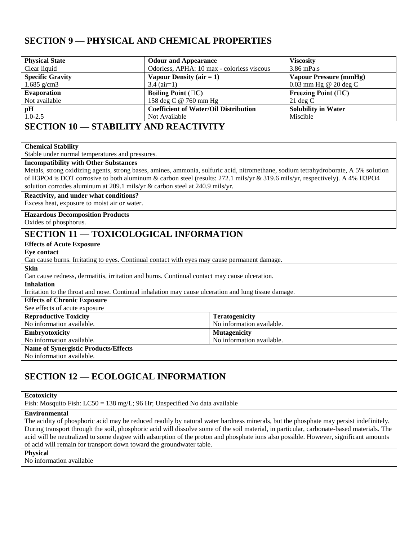# **SECTION 9 — PHYSICAL AND CHEMICAL PROPERTIES**

| <b>Physical State</b>   | <b>Odour and Appearance</b>                  | <b>Viscosity</b>           |
|-------------------------|----------------------------------------------|----------------------------|
| Clear liquid            | Odorless, APHA: 10 max - colorless viscous   | $3.86$ mPa.s               |
| <b>Specific Gravity</b> | Vapour Density $(air = 1)$                   | Vapour Pressure (mmHg)     |
| 1.685 $g/cm3$           | $3.4$ (air=1)                                | $0.03$ mm Hg @ 20 deg C    |
| <b>Evaporation</b>      | Boiling Point $(\Box C)$                     | Freezing Point $(\Box C)$  |
| Not available           | 158 deg C @ 760 mm Hg                        | $21 \text{ deg } C$        |
| pH                      | <b>Coefficient of Water/Oil Distribution</b> | <b>Solubility in Water</b> |
| $1.0 - 2.5$             | Not Available                                | Miscible                   |

## **SECTION 10 — STABILITY AND REACTIVITY**

#### **Chemical Stability**

Stable under normal temperatures and pressures.

## **Incompatibility with Other Substances**

Metals, strong oxidizing agents, strong bases, amines, ammonia, sulfuric acid, nitromethane, sodium tetrahydroborate, A 5% solution of H3PO4 is DOT corrosive to both aluminum & carbon steel (results: 272.1 mils/yr & 319.6 mils/yr, respectively). A 4% H3PO4 solution corrodes aluminum at 209.1 mils/yr & carbon steel at 240.9 mils/yr.

#### **Reactivity, and under what conditions?**

Excess heat, exposure to moist air or water.

# **Hazardous Decomposition Products**

Oxides of phosphorus.

# **SECTION 11 — TOXICOLOGICAL INFORMATION**

| <b>Effects of Acute Exposure</b>                                                                     |                           |  |
|------------------------------------------------------------------------------------------------------|---------------------------|--|
| Eve contact                                                                                          |                           |  |
| Can cause burns. Irritating to eyes. Continual contact with eyes may cause permanent damage.         |                           |  |
| <b>Skin</b>                                                                                          |                           |  |
| Can cause redness, dermatitis, irritation and burns. Continual contact may cause ulceration.         |                           |  |
| <b>Inhalation</b>                                                                                    |                           |  |
| Irritation to the throat and nose. Continual inhalation may cause ulceration and lung tissue damage. |                           |  |
| <b>Effects of Chronic Exposure</b>                                                                   |                           |  |
| See effects of acute exposure                                                                        |                           |  |
| <b>Reproductive Toxicity</b>                                                                         | <b>Teratogenicity</b>     |  |
| No information available.                                                                            | No information available. |  |
| <b>Embryotoxicity</b>                                                                                | <b>Mutagenicity</b>       |  |
| No information available.                                                                            | No information available. |  |
| <b>Name of Synergistic Products/Effects</b>                                                          |                           |  |
| No information available.                                                                            |                           |  |

# **SECTION 12 — ECOLOGICAL INFORMATION**

### **Ecotoxicity**

Fish: Mosquito Fish: LC50 = 138 mg/L; 96 Hr; Unspecified No data available

## **Environmental**

The acidity of phosphoric acid may be reduced readily by natural water hardness minerals, but the phosphate may persist indefinitely. During transport through the soil, phosphoric acid will dissolve some of the soil material, in particular, carbonate-based materials. The acid will be neutralized to some degree with adsorption of the proton and phosphate ions also possible. However, significant amounts of acid will remain for transport down toward the groundwater table.

### **Physical**

No information available